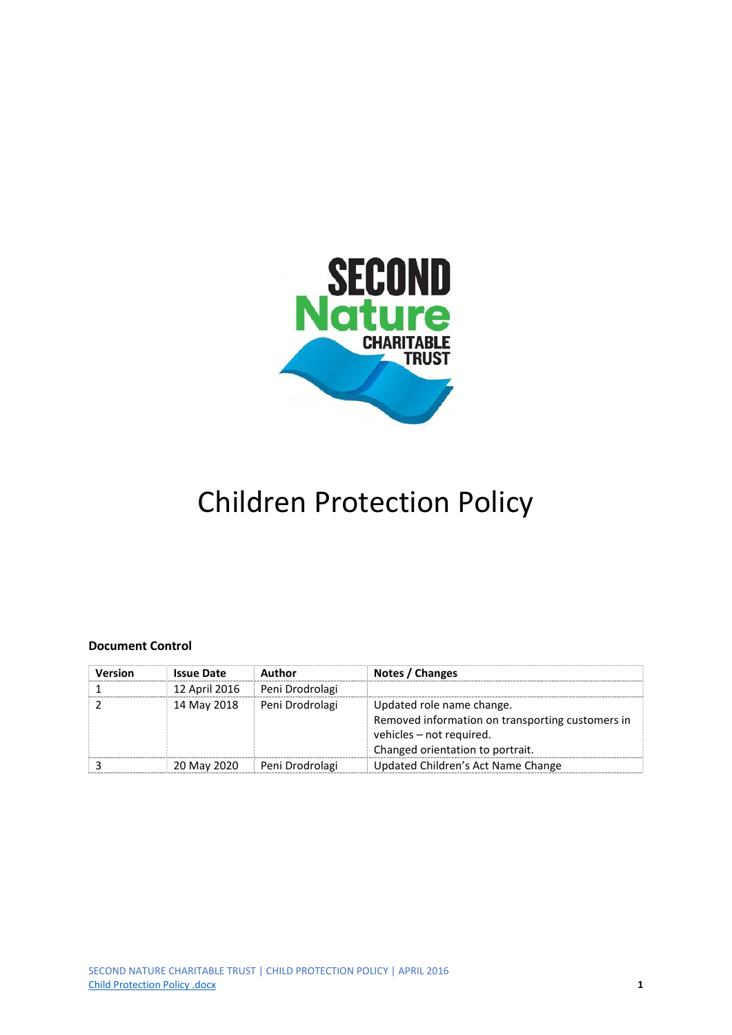

# Children Protection Policy

#### **Document Control**

| <b>Version</b> | <b>Issue Date</b> | Author          | Notes / Changes                                                                                                                               |
|----------------|-------------------|-----------------|-----------------------------------------------------------------------------------------------------------------------------------------------|
|                | 12 April 2016     | Peni Drodrolagi |                                                                                                                                               |
|                | 14 May 2018       | Peni Drodrolagi | Updated role name change.<br>Removed information on transporting customers in<br>vehicles - not required.<br>Changed orientation to portrait. |
|                | 20 May 2020       | Peni Drodrolagi | Updated Children's Act Name Change                                                                                                            |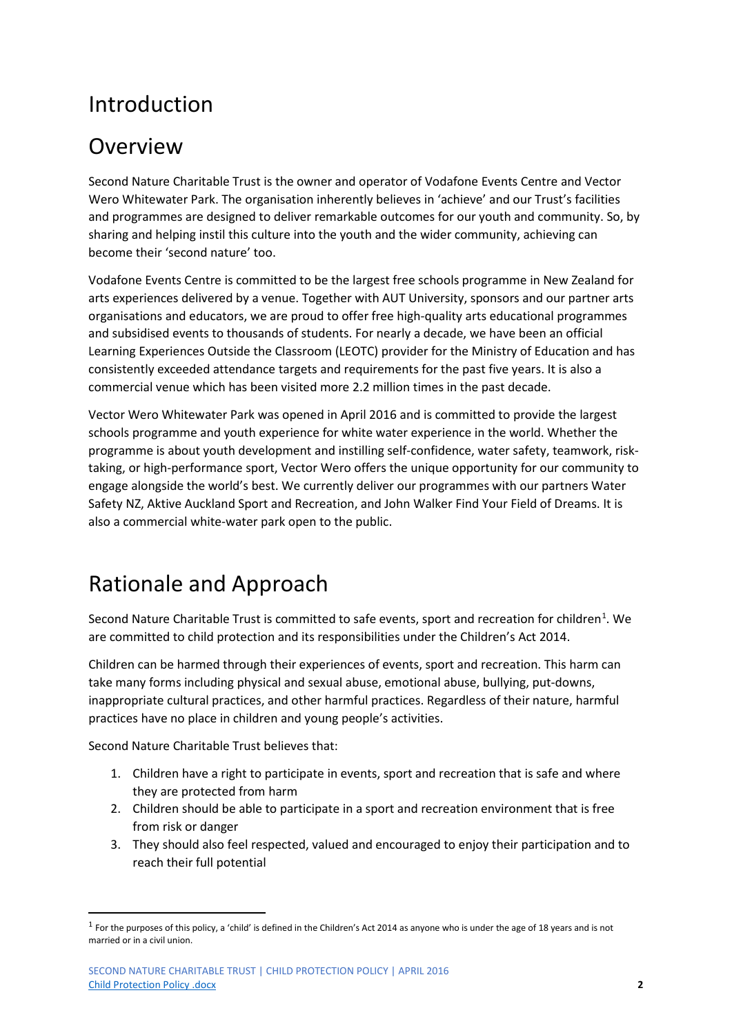### Introduction

### Overview

Second Nature Charitable Trust is the owner and operator of Vodafone Events Centre and Vector Wero Whitewater Park. The organisation inherently believes in 'achieve' and our Trust's facilities and programmes are designed to deliver remarkable outcomes for our youth and community. So, by sharing and helping instil this culture into the youth and the wider community, achieving can become their 'second nature' too.

Vodafone Events Centre is committed to be the largest free schools programme in New Zealand for arts experiences delivered by a venue. Together with AUT University, sponsors and our partner arts organisations and educators, we are proud to offer free high-quality arts educational programmes and subsidised events to thousands of students. For nearly a decade, we have been an official Learning Experiences Outside the Classroom (LEOTC) provider for the Ministry of Education and has consistently exceeded attendance targets and requirements for the past five years. It is also a commercial venue which has been visited more 2.2 million times in the past decade.

Vector Wero Whitewater Park was opened in April 2016 and is committed to provide the largest schools programme and youth experience for white water experience in the world. Whether the programme is about youth development and instilling self-confidence, water safety, teamwork, risktaking, or high-performance sport, Vector Wero offers the unique opportunity for our community to engage alongside the world's best. We currently deliver our programmes with our partners Water Safety NZ, Aktive Auckland Sport and Recreation, and John Walker Find Your Field of Dreams. It is also a commercial white-water park open to the public.

### Rationale and Approach

Second Nature Charitable Trust is committed to safe events, sport and recreation for children<sup>[1](#page-1-0)</sup>. We are committed to child protection and its responsibilities under the Children's Act 2014.

Children can be harmed through their experiences of events, sport and recreation. This harm can take many forms including physical and sexual abuse, emotional abuse, bullying, put-downs, inappropriate cultural practices, and other harmful practices. Regardless of their nature, harmful practices have no place in children and young people's activities.

Second Nature Charitable Trust believes that:

- 1. Children have a right to participate in events, sport and recreation that is safe and where they are protected from harm
- 2. Children should be able to participate in a sport and recreation environment that is free from risk or danger
- 3. They should also feel respected, valued and encouraged to enjoy their participation and to reach their full potential

<span id="page-1-0"></span> $1$  For the purposes of this policy, a 'child' is defined in the Children's Act 2014 as anyone who is under the age of 18 years and is not married or in a civil union.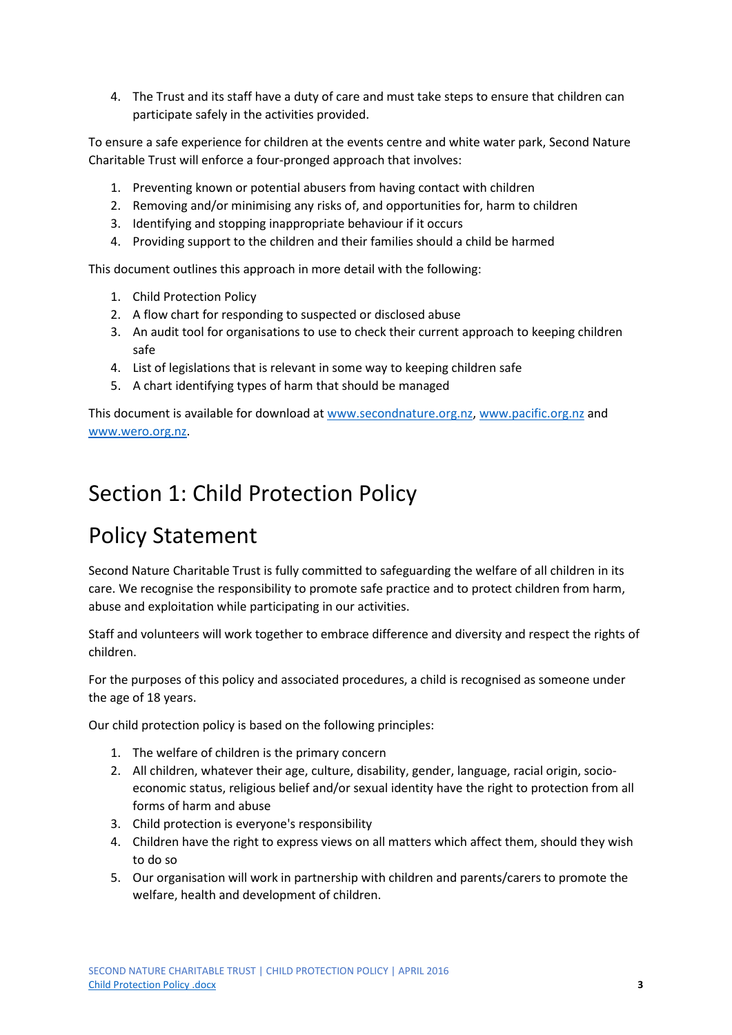4. The Trust and its staff have a duty of care and must take steps to ensure that children can participate safely in the activities provided.

To ensure a safe experience for children at the events centre and white water park, Second Nature Charitable Trust will enforce a four-pronged approach that involves:

- 1. Preventing known or potential abusers from having contact with children
- 2. Removing and/or minimising any risks of, and opportunities for, harm to children
- 3. Identifying and stopping inappropriate behaviour if it occurs
- 4. Providing support to the children and their families should a child be harmed

This document outlines this approach in more detail with the following:

- 1. Child Protection Policy
- 2. A flow chart for responding to suspected or disclosed abuse
- 3. An audit tool for organisations to use to check their current approach to keeping children safe
- 4. List of legislations that is relevant in some way to keeping children safe
- 5. A chart identifying types of harm that should be managed

This document is available for download at [www.secondnature.org.nz,](http://www.secondnature.org.nz/) [www.pacific.org.nz](http://www.pacific.org.nz/) and [www.wero.org.nz.](http://www.wero.org.nz/)

### Section 1: Child Protection Policy

### Policy Statement

Second Nature Charitable Trust is fully committed to safeguarding the welfare of all children in its care. We recognise the responsibility to promote safe practice and to protect children from harm, abuse and exploitation while participating in our activities.

Staff and volunteers will work together to embrace difference and diversity and respect the rights of children.

For the purposes of this policy and associated procedures, a child is recognised as someone under the age of 18 years.

Our child protection policy is based on the following principles:

- 1. The welfare of children is the primary concern
- 2. All children, whatever their age, culture, disability, gender, language, racial origin, socioeconomic status, religious belief and/or sexual identity have the right to protection from all forms of harm and abuse
- 3. Child protection is everyone's responsibility
- 4. Children have the right to express views on all matters which affect them, should they wish to do so
- 5. Our organisation will work in partnership with children and parents/carers to promote the welfare, health and development of children.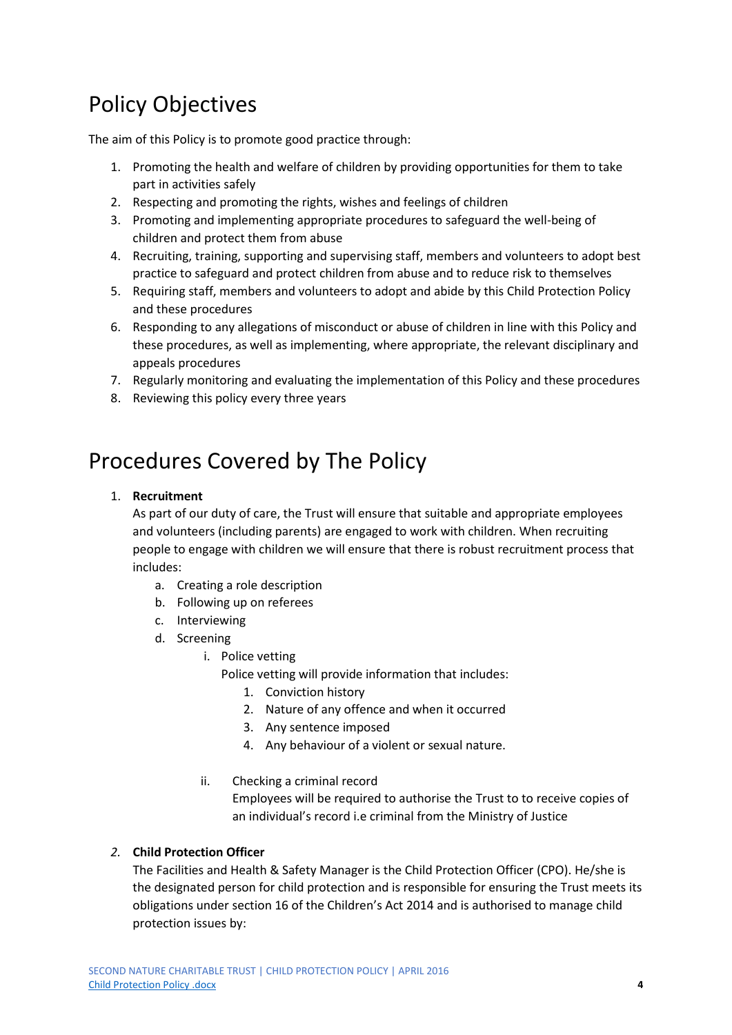## Policy Objectives

The aim of this Policy is to promote good practice through:

- 1. Promoting the health and welfare of children by providing opportunities for them to take part in activities safely
- 2. Respecting and promoting the rights, wishes and feelings of children
- 3. Promoting and implementing appropriate procedures to safeguard the well-being of children and protect them from abuse
- 4. Recruiting, training, supporting and supervising staff, members and volunteers to adopt best practice to safeguard and protect children from abuse and to reduce risk to themselves
- 5. Requiring staff, members and volunteers to adopt and abide by this Child Protection Policy and these procedures
- 6. Responding to any allegations of misconduct or abuse of children in line with this Policy and these procedures, as well as implementing, where appropriate, the relevant disciplinary and appeals procedures
- 7. Regularly monitoring and evaluating the implementation of this Policy and these procedures
- 8. Reviewing this policy every three years

### Procedures Covered by The Policy

#### 1. **Recruitment**

As part of our duty of care, the Trust will ensure that suitable and appropriate employees and volunteers (including parents) are engaged to work with children. When recruiting people to engage with children we will ensure that there is robust recruitment process that includes:

- a. Creating a role description
- b. Following up on referees
- c. Interviewing
- d. Screening
	- i. Police vetting

Police vetting will provide information that includes:

- 1. Conviction history
- 2. Nature of any offence and when it occurred
- 3. Any sentence imposed
- 4. Any behaviour of a violent or sexual nature.

#### ii. Checking a criminal record

Employees will be required to authorise the Trust to to receive copies of an individual's record i.e criminal from the Ministry of Justice

#### *2.* **Child Protection Officer**

The Facilities and Health & Safety Manager is the Child Protection Officer (CPO). He/she is the designated person for child protection and is responsible for ensuring the Trust meets its obligations under section 16 of the Children's Act 2014 and is authorised to manage child protection issues by: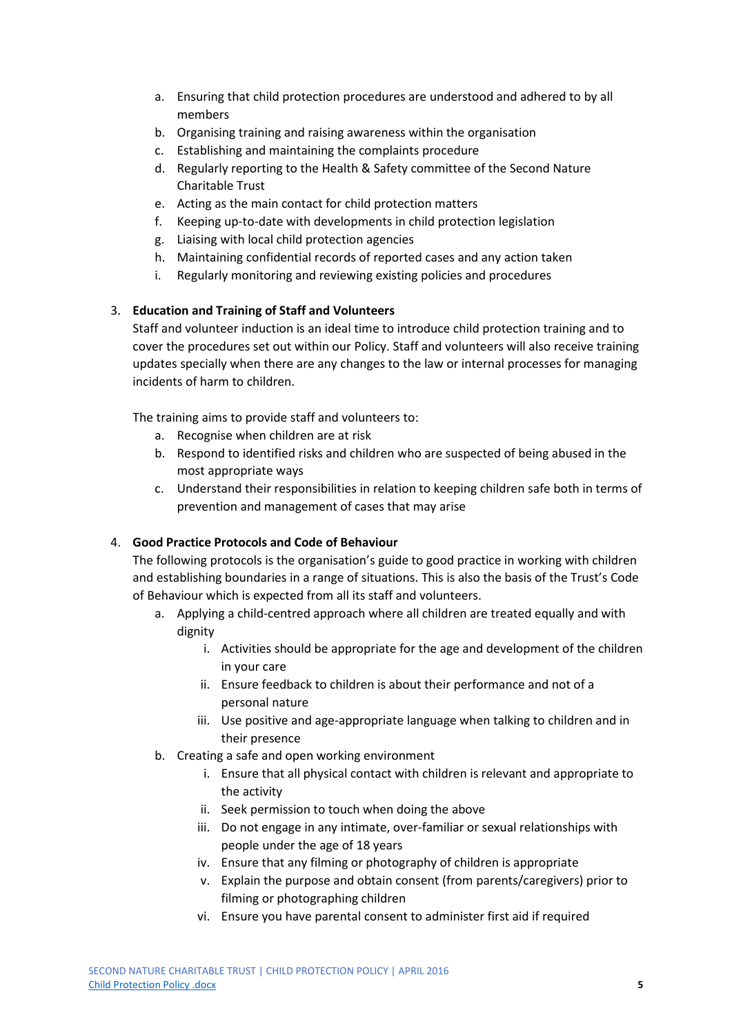- a. Ensuring that child protection procedures are understood and adhered to by all members
- b. Organising training and raising awareness within the organisation
- c. Establishing and maintaining the complaints procedure
- d. Regularly reporting to the Health & Safety committee of the Second Nature Charitable Trust
- e. Acting as the main contact for child protection matters
- f. Keeping up-to-date with developments in child protection legislation
- g. Liaising with local child protection agencies
- h. Maintaining confidential records of reported cases and any action taken
- i. Regularly monitoring and reviewing existing policies and procedures

#### 3. **Education and Training of Staff and Volunteers**

Staff and volunteer induction is an ideal time to introduce child protection training and to cover the procedures set out within our Policy. Staff and volunteers will also receive training updates specially when there are any changes to the law or internal processes for managing incidents of harm to children.

The training aims to provide staff and volunteers to:

- a. Recognise when children are at risk
- b. Respond to identified risks and children who are suspected of being abused in the most appropriate ways
- c. Understand their responsibilities in relation to keeping children safe both in terms of prevention and management of cases that may arise

#### 4. **Good Practice Protocols and Code of Behaviour**

The following protocols is the organisation's guide to good practice in working with children and establishing boundaries in a range of situations. This is also the basis of the Trust's Code of Behaviour which is expected from all its staff and volunteers.

- a. Applying a child-centred approach where all children are treated equally and with dignity
	- i. Activities should be appropriate for the age and development of the children in your care
	- ii. Ensure feedback to children is about their performance and not of a personal nature
	- iii. Use positive and age-appropriate language when talking to children and in their presence
- b. Creating a safe and open working environment
	- i. Ensure that all physical contact with children is relevant and appropriate to the activity
	- ii. Seek permission to touch when doing the above
	- iii. Do not engage in any intimate, over-familiar or sexual relationships with people under the age of 18 years
	- iv. Ensure that any filming or photography of children is appropriate
	- v. Explain the purpose and obtain consent (from parents/caregivers) prior to filming or photographing children
	- vi. Ensure you have parental consent to administer first aid if required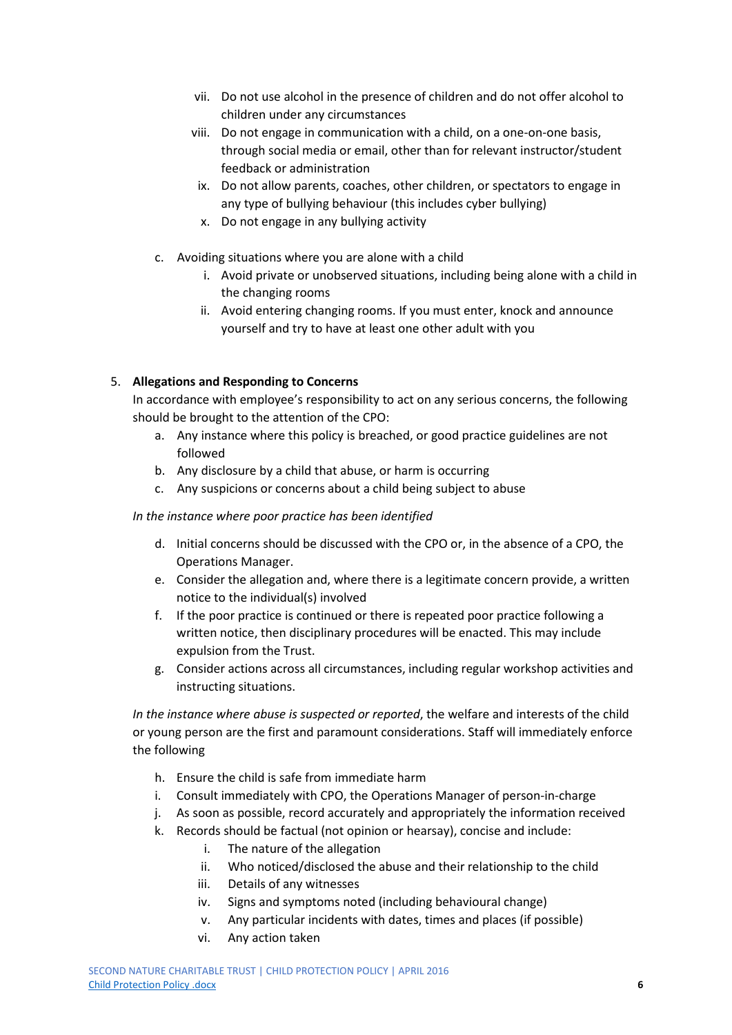- vii. Do not use alcohol in the presence of children and do not offer alcohol to children under any circumstances
- viii. Do not engage in communication with a child, on a one-on-one basis, through social media or email, other than for relevant instructor/student feedback or administration
- ix. Do not allow parents, coaches, other children, or spectators to engage in any type of bullying behaviour (this includes cyber bullying)
- x. Do not engage in any bullying activity
- c. Avoiding situations where you are alone with a child
	- i. Avoid private or unobserved situations, including being alone with a child in the changing rooms
	- ii. Avoid entering changing rooms. If you must enter, knock and announce yourself and try to have at least one other adult with you

#### 5. **Allegations and Responding to Concerns**

In accordance with employee's responsibility to act on any serious concerns, the following should be brought to the attention of the CPO:

- a. Any instance where this policy is breached, or good practice guidelines are not followed
- b. Any disclosure by a child that abuse, or harm is occurring
- c. Any suspicions or concerns about a child being subject to abuse

#### *In the instance where poor practice has been identified*

- d. Initial concerns should be discussed with the CPO or, in the absence of a CPO, the Operations Manager.
- e. Consider the allegation and, where there is a legitimate concern provide, a written notice to the individual(s) involved
- f. If the poor practice is continued or there is repeated poor practice following a written notice, then disciplinary procedures will be enacted. This may include expulsion from the Trust.
- g. Consider actions across all circumstances, including regular workshop activities and instructing situations.

*In the instance where abuse is suspected or reported*, the welfare and interests of the child or young person are the first and paramount considerations. Staff will immediately enforce the following

- h. Ensure the child is safe from immediate harm
- i. Consult immediately with CPO, the Operations Manager of person-in-charge
- j. As soon as possible, record accurately and appropriately the information received
- k. Records should be factual (not opinion or hearsay), concise and include:
	- i. The nature of the allegation
	- ii. Who noticed/disclosed the abuse and their relationship to the child
	- iii. Details of any witnesses
	- iv. Signs and symptoms noted (including behavioural change)
	- v. Any particular incidents with dates, times and places (if possible)
	- vi. Any action taken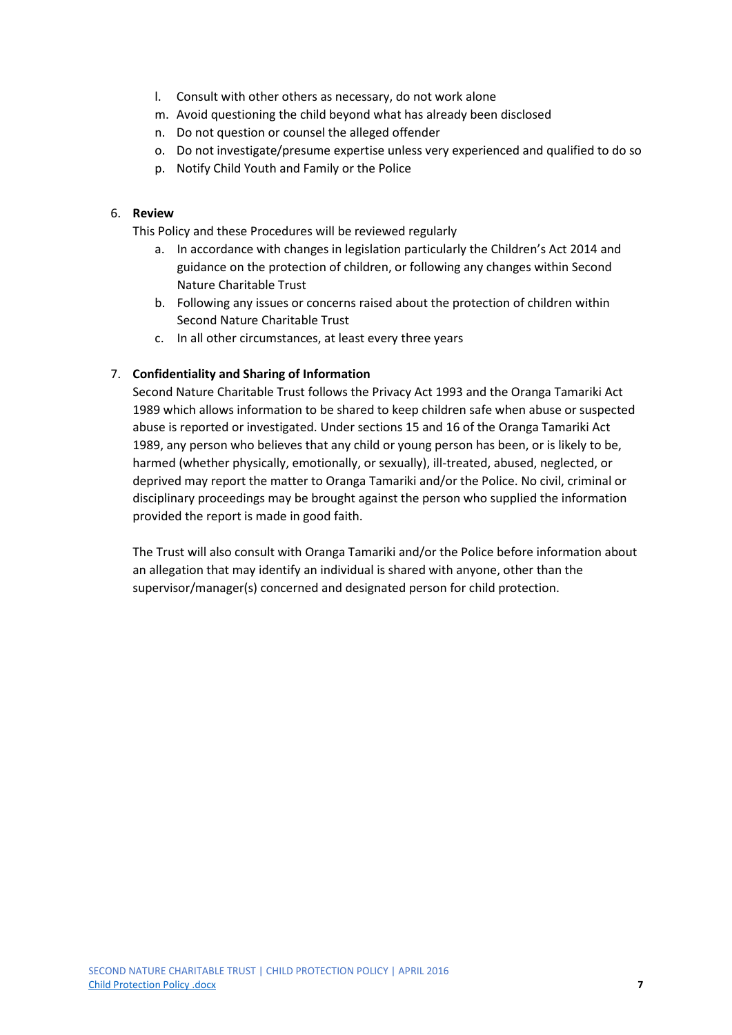- l. Consult with other others as necessary, do not work alone
- m. Avoid questioning the child beyond what has already been disclosed
- n. Do not question or counsel the alleged offender
- o. Do not investigate/presume expertise unless very experienced and qualified to do so
- p. Notify Child Youth and Family or the Police

#### 6. **Review**

This Policy and these Procedures will be reviewed regularly

- a. In accordance with changes in legislation particularly the Children's Act 2014 and guidance on the protection of children, or following any changes within Second Nature Charitable Trust
- b. Following any issues or concerns raised about the protection of children within Second Nature Charitable Trust
- c. In all other circumstances, at least every three years

#### 7. **Confidentiality and Sharing of Information**

Second Nature Charitable Trust follows the Privacy Act 1993 and the Oranga Tamariki Act 1989 which allows information to be shared to keep children safe when abuse or suspected abuse is reported or investigated. Under sections 15 and 16 of the Oranga Tamariki Act 1989, any person who believes that any child or young person has been, or is likely to be, harmed (whether physically, emotionally, or sexually), ill-treated, abused, neglected, or deprived may report the matter to Oranga Tamariki and/or the Police. No civil, criminal or disciplinary proceedings may be brought against the person who supplied the information provided the report is made in good faith.

The Trust will also consult with Oranga Tamariki and/or the Police before information about an allegation that may identify an individual is shared with anyone, other than the supervisor/manager(s) concerned and designated person for child protection.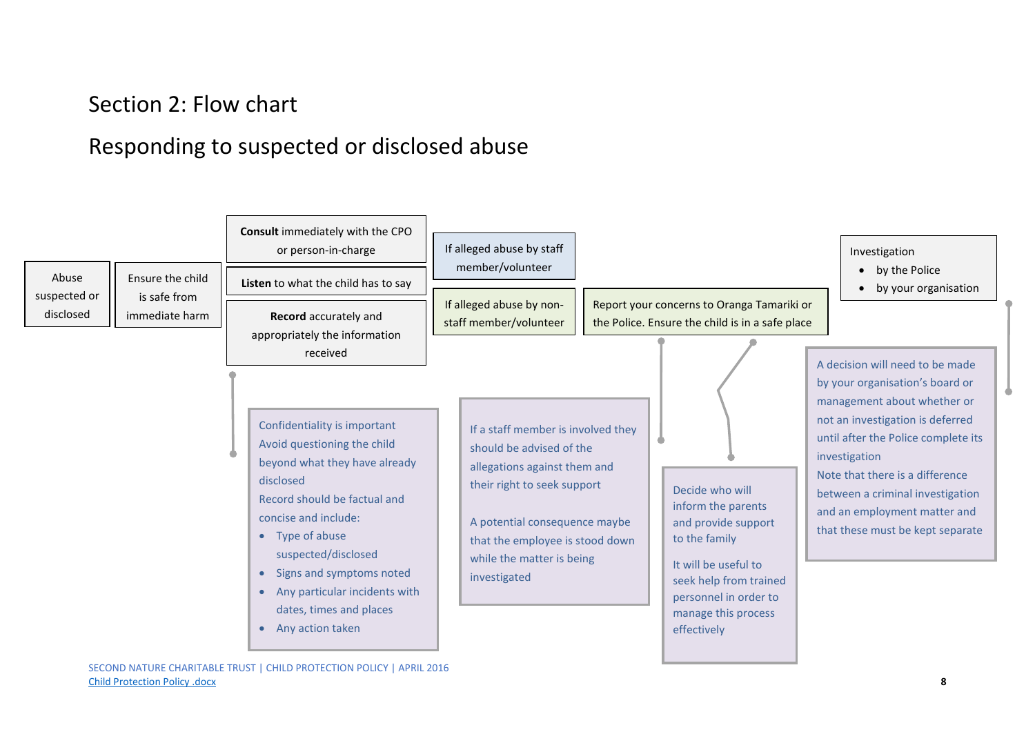### Section 2: Flow chart

### Responding to suspected or disclosed abuse

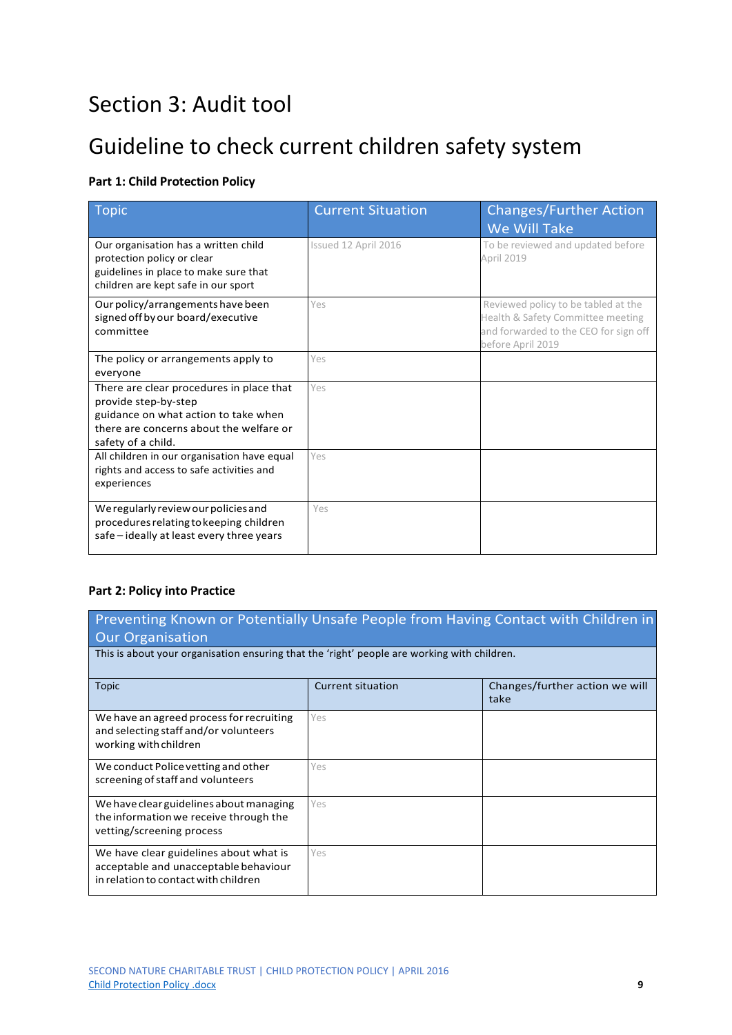### Section 3: Audit tool

### Guideline to check current children safety system

#### **Part 1: Child Protection Policy**

| Topic                                                                                                                                                                     | <b>Current Situation</b> | <b>Changes/Further Action</b><br>We Will Take                                                                                          |
|---------------------------------------------------------------------------------------------------------------------------------------------------------------------------|--------------------------|----------------------------------------------------------------------------------------------------------------------------------------|
| Our organisation has a written child<br>protection policy or clear<br>guidelines in place to make sure that<br>children are kept safe in our sport                        | Issued 12 April 2016     | To be reviewed and updated before<br>April 2019                                                                                        |
| Our policy/arrangements have been<br>signed off by our board/executive<br>committee                                                                                       | Yes                      | Reviewed policy to be tabled at the<br>Health & Safety Committee meeting<br>and forwarded to the CEO for sign off<br>before April 2019 |
| The policy or arrangements apply to<br>everyone                                                                                                                           | Yes                      |                                                                                                                                        |
| There are clear procedures in place that<br>provide step-by-step<br>guidance on what action to take when<br>there are concerns about the welfare or<br>safety of a child. | Yes                      |                                                                                                                                        |
| All children in our organisation have equal<br>rights and access to safe activities and<br>experiences                                                                    | Yes                      |                                                                                                                                        |
| We regularly review our policies and<br>procedures relating to keeping children<br>safe - ideally at least every three years                                              | Yes                      |                                                                                                                                        |

#### **Part 2: Policy into Practice**

Preventing Known or Potentially Unsafe People from Having Contact with Children in Our Organisation

This is about your organisation ensuring that the 'right' people are working with children.

| Topic                                                                                                                   | Current situation | Changes/further action we will<br>take |
|-------------------------------------------------------------------------------------------------------------------------|-------------------|----------------------------------------|
| We have an agreed process for recruiting<br>and selecting staff and/or volunteers<br>working with children              | Yes               |                                        |
| We conduct Police vetting and other<br>screening of staff and volunteers                                                | Yes               |                                        |
| We have clear guidelines about managing<br>the information we receive through the<br>vetting/screening process          | Yes               |                                        |
| We have clear guidelines about what is<br>acceptable and unacceptable behaviour<br>in relation to contact with children | Yes               |                                        |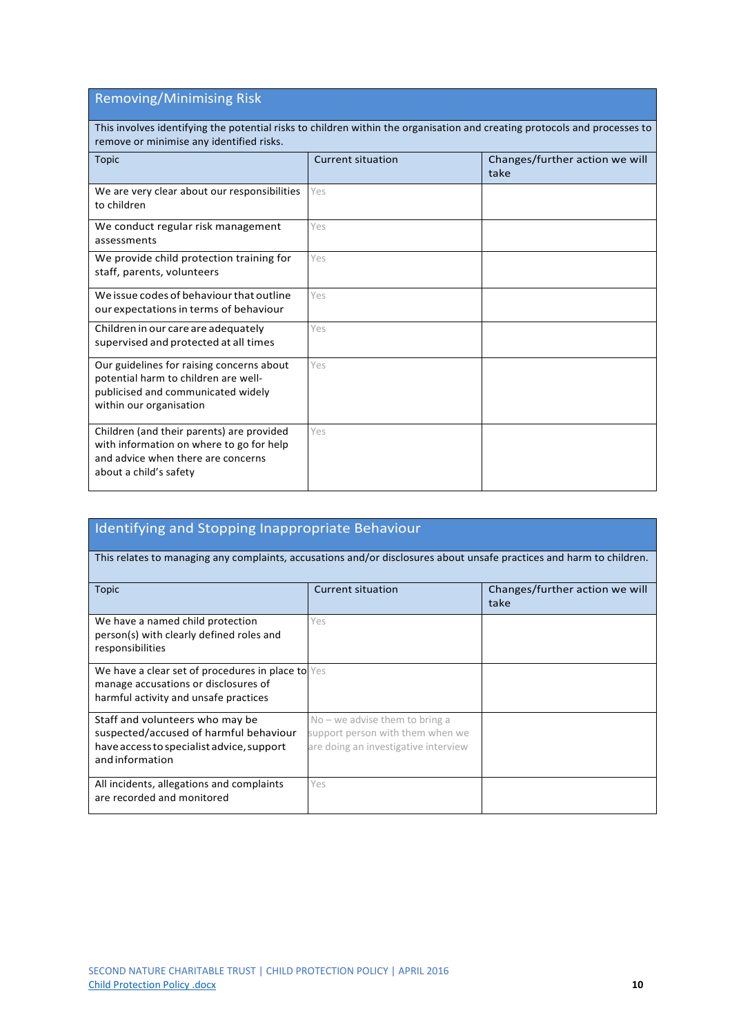### Removing/Minimising Risk

This involves identifying the potential risks to children within the organisation and creating protocols and processes to remove or minimise any identified risks.

| <b>Topic</b>                                                                                                                                          | Current situation | Changes/further action we will<br>take |
|-------------------------------------------------------------------------------------------------------------------------------------------------------|-------------------|----------------------------------------|
| We are very clear about our responsibilities<br>to children                                                                                           | Yes               |                                        |
| We conduct regular risk management<br>assessments                                                                                                     | Yes               |                                        |
| We provide child protection training for<br>staff, parents, volunteers                                                                                | Yes               |                                        |
| We issue codes of behaviour that outline<br>our expectations in terms of behaviour                                                                    | Yes               |                                        |
| Children in our care are adequately<br>supervised and protected at all times                                                                          | Yes               |                                        |
| Our guidelines for raising concerns about<br>potential harm to children are well-<br>publicised and communicated widely<br>within our organisation    | Yes               |                                        |
| Children (and their parents) are provided<br>with information on where to go for help<br>and advice when there are concerns<br>about a child's safety | Yes               |                                        |

| Identifying and Stopping Inappropriate Behaviour                                                                                         |                                                                                                              |                                        |  |  |
|------------------------------------------------------------------------------------------------------------------------------------------|--------------------------------------------------------------------------------------------------------------|----------------------------------------|--|--|
| This relates to managing any complaints, accusations and/or disclosures about unsafe practices and harm to children.                     |                                                                                                              |                                        |  |  |
| <b>Topic</b>                                                                                                                             | <b>Current situation</b>                                                                                     | Changes/further action we will<br>take |  |  |
| We have a named child protection<br>person(s) with clearly defined roles and<br>responsibilities                                         | Yes                                                                                                          |                                        |  |  |
| We have a clear set of procedures in place to Yes<br>manage accusations or disclosures of<br>harmful activity and unsafe practices       |                                                                                                              |                                        |  |  |
| Staff and volunteers who may be<br>suspected/accused of harmful behaviour<br>have access to specialist advice, support<br>andinformation | $No$ – we advise them to bring a<br>support person with them when we<br>are doing an investigative interview |                                        |  |  |
| All incidents, allegations and complaints<br>are recorded and monitored                                                                  | Yes                                                                                                          |                                        |  |  |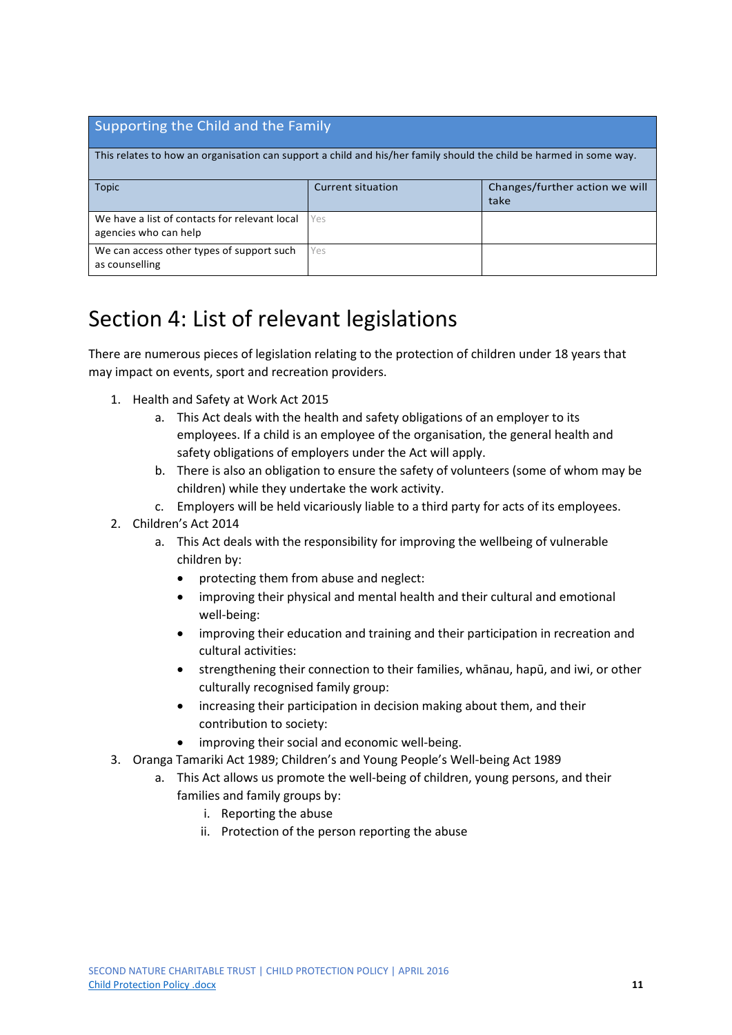#### Supporting the Child and the Family

This relates to how an organisation can support a child and his/her family should the child be harmed in some way.

| <b>Topic</b>                                                           | Current situation | Changes/further action we will<br>take |  |
|------------------------------------------------------------------------|-------------------|----------------------------------------|--|
| We have a list of contacts for relevant local<br>agencies who can help | Yes               |                                        |  |
| We can access other types of support such<br>as counselling            | <b>Yes</b>        |                                        |  |

### Section 4: List of relevant legislations

There are numerous pieces of legislation relating to the protection of children under 18 years that may impact on events, sport and recreation providers.

- 1. Health and Safety at Work Act 2015
	- a. This Act deals with the health and safety obligations of an employer to its employees. If a child is an employee of the organisation, the general health and safety obligations of employers under the Act will apply.
	- b. There is also an obligation to ensure the safety of volunteers (some of whom may be children) while they undertake the work activity.
	- c. Employers will be held vicariously liable to a third party for acts of its employees.
- 2. Children's Act 2014
	- a. This Act deals with the responsibility for improving the wellbeing of vulnerable children by:
		- protecting them from abuse and neglect:
		- improving their physical and mental health and their cultural and emotional well-being:
		- improving their education and training and their participation in recreation and cultural activities:
		- strengthening their connection to their families, whānau, hapū, and iwi, or other culturally recognised family group:
		- increasing their participation in decision making about them, and their contribution to society:
		- improving their social and economic well-being.
- 3. Oranga Tamariki Act 1989; Children's and Young People's Well-being Act 1989
	- a. This Act allows us promote the well-being of children, young persons, and their families and family groups by:
		- i. Reporting the abuse
		- ii. Protection of the person reporting the abuse